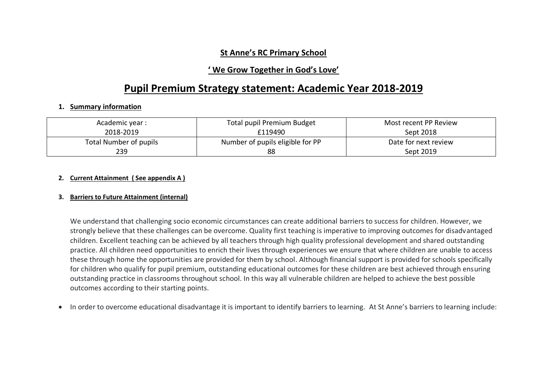## **St Anne's RC Primary School**

## **' We Grow Together in God's Love'**

# **Pupil Premium Strategy statement: Academic Year 2018-2019**

#### **1. Summary information**

| Academic year :        | Total pupil Premium Budget       | Most recent PP Review |
|------------------------|----------------------------------|-----------------------|
| 2018-2019              | £119490                          | Sept 2018             |
| Total Number of pupils | Number of pupils eligible for PP | Date for next review  |
| 239                    | 88                               | Sept 2019             |

#### **2. Current Attainment ( See appendix A )**

#### **3. Barriers to Future Attainment (internal)**

We understand that challenging socio economic circumstances can create additional barriers to success for children. However, we strongly believe that these challenges can be overcome. Quality first teaching is imperative to improving outcomes for disadvantaged children. Excellent teaching can be achieved by all teachers through high quality professional development and shared outstanding practice. All children need opportunities to enrich their lives through experiences we ensure that where children are unable to access these through home the opportunities are provided for them by school. Although financial support is provided for schools specifically for children who qualify for pupil premium, outstanding educational outcomes for these children are best achieved through ensuring outstanding practice in classrooms throughout school. In this way all vulnerable children are helped to achieve the best possible outcomes according to their starting points.

• In order to overcome educational disadvantage it is important to identify barriers to learning. At St Anne's barriers to learning include: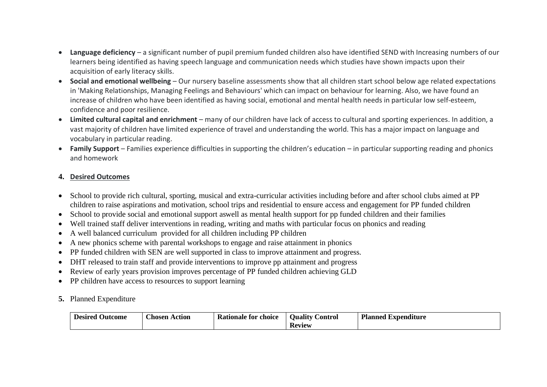- **Language deficiency** a significant number of pupil premium funded children also have identified SEND with Increasing numbers of our learners being identified as having speech language and communication needs which studies have shown impacts upon their acquisition of early literacy skills.
- **Social and emotional wellbeing** Our nursery baseline assessments show that all children start school below age related expectations in 'Making Relationships, Managing Feelings and Behaviours' which can impact on behaviour for learning. Also, we have found an increase of children who have been identified as having social, emotional and mental health needs in particular low self-esteem, confidence and poor resilience.
- **Limited cultural capital and enrichment** many of our children have lack of access to cultural and sporting experiences. In addition, a vast majority of children have limited experience of travel and understanding the world. This has a major impact on language and vocabulary in particular reading.
- **Family Support** Families experience difficulties in supporting the children's education in particular supporting reading and phonics and homework

### **4. Desired Outcomes**

- School to provide rich cultural, sporting, musical and extra-curricular activities including before and after school clubs aimed at PP children to raise aspirations and motivation, school trips and residential to ensure access and engagement for PP funded children
- School to provide social and emotional support aswell as mental health support for pp funded children and their families
- Well trained staff deliver interventions in reading, writing and maths with particular focus on phonics and reading
- A well balanced curriculum provided for all children including PP children
- A new phonics scheme with parental workshops to engage and raise attainment in phonics
- PP funded children with SEN are well supported in class to improve attainment and progress.
- DHT released to train staff and provide interventions to improve pp attainment and progress
- Review of early vears provision improves percentage of PP funded children achieving GLD
- PP children have access to resources to support learning
- **5.** Planned Expenditure

| <b>Desired</b><br>Outcome | <b>Chosen Action</b> | <b>Rationale for choice</b> | <br>ontrol<br><b>Ouality</b> | <b>Planned</b><br>l Expenditure |
|---------------------------|----------------------|-----------------------------|------------------------------|---------------------------------|
|                           |                      |                             | <b>Review</b>                |                                 |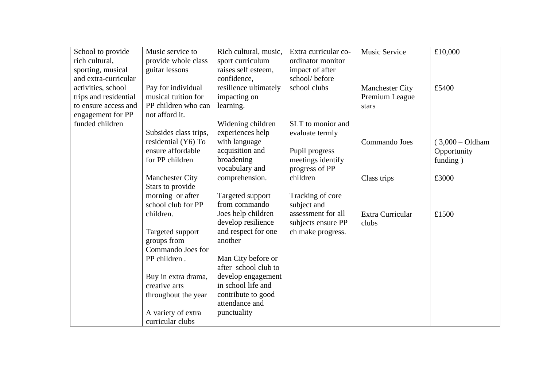| School to provide     | Music service to       | Rich cultural, music, | Extra curricular co- | Music Service          | £10,000            |
|-----------------------|------------------------|-----------------------|----------------------|------------------------|--------------------|
| rich cultural,        | provide whole class    | sport curriculum      | ordinator monitor    |                        |                    |
| sporting, musical     | guitar lessons         | raises self esteem,   | impact of after      |                        |                    |
| and extra-curricular  |                        | confidence,           | school/before        |                        |                    |
| activities, school    | Pay for individual     | resilience ultimately | school clubs         | <b>Manchester City</b> | £5400              |
| trips and residential | musical tuition for    | impacting on          |                      | Premium League         |                    |
| to ensure access and  | PP children who can    | learning.             |                      | stars                  |                    |
| engagement for PP     | not afford it.         |                       |                      |                        |                    |
| funded children       |                        | Widening children     | SLT to monior and    |                        |                    |
|                       | Subsides class trips,  | experiences help      | evaluate termly      |                        |                    |
|                       | residential (Y6) To    | with language         |                      | Commando Joes          | $(3,000 - Oldham)$ |
|                       | ensure affordable      | acquisition and       | Pupil progress       |                        | Opportunity        |
|                       | for PP children        | broadening            | meetings identify    |                        | funding)           |
|                       |                        | vocabulary and        | progress of PP       |                        |                    |
|                       | <b>Manchester City</b> | comprehension.        | children             | Class trips            | £3000              |
|                       | Stars to provide       |                       |                      |                        |                    |
|                       | morning or after       | Targeted support      | Tracking of core     |                        |                    |
|                       | school club for PP     | from commando         | subject and          |                        |                    |
|                       | children.              | Joes help children    | assessment for all   | Extra Curricular       | £1500              |
|                       |                        | develop resilience    | subjects ensure PP   | clubs                  |                    |
|                       | Targeted support       | and respect for one   | ch make progress.    |                        |                    |
|                       | groups from            | another               |                      |                        |                    |
|                       | Commando Joes for      |                       |                      |                        |                    |
|                       | PP children.           | Man City before or    |                      |                        |                    |
|                       |                        | after school club to  |                      |                        |                    |
|                       | Buy in extra drama,    | develop engagement    |                      |                        |                    |
|                       | creative arts          | in school life and    |                      |                        |                    |
|                       | throughout the year    | contribute to good    |                      |                        |                    |
|                       |                        | attendance and        |                      |                        |                    |
|                       | A variety of extra     | punctuality           |                      |                        |                    |
|                       | curricular clubs       |                       |                      |                        |                    |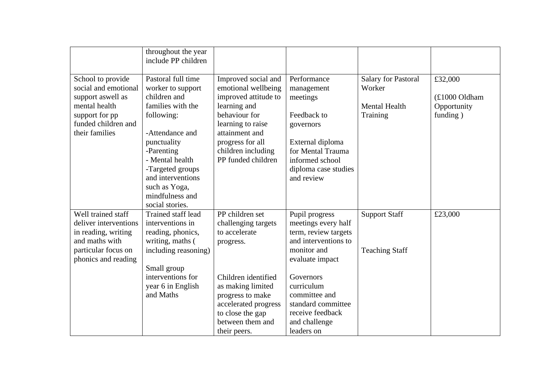|                       | throughout the year<br>include PP children |                      |                      |                            |               |
|-----------------------|--------------------------------------------|----------------------|----------------------|----------------------------|---------------|
| School to provide     | Pastoral full time                         | Improved social and  | Performance          | <b>Salary for Pastoral</b> | £32,000       |
| social and emotional  | worker to support                          | emotional wellbeing  | management           | Worker                     |               |
| support aswell as     | children and                               | improved attitude to | meetings             |                            | (£1000 Oldham |
| mental health         | families with the                          | learning and         |                      | <b>Mental Health</b>       | Opportunity   |
| support for pp        | following:                                 | behaviour for        | Feedback to          | Training                   | funding)      |
| funded children and   |                                            | learning to raise    | governors            |                            |               |
| their families        | -Attendance and                            | attainment and       |                      |                            |               |
|                       | punctuality                                | progress for all     | External diploma     |                            |               |
|                       | -Parenting                                 | children including   | for Mental Trauma    |                            |               |
|                       | - Mental health                            | PP funded children   | informed school      |                            |               |
|                       | -Targeted groups                           |                      | diploma case studies |                            |               |
|                       | and interventions                          |                      | and review           |                            |               |
|                       | such as Yoga,                              |                      |                      |                            |               |
|                       | mindfulness and                            |                      |                      |                            |               |
|                       | social stories.                            |                      |                      |                            |               |
| Well trained staff    | Trained staff lead                         | PP children set      | Pupil progress       | <b>Support Staff</b>       | £23,000       |
| deliver interventions | interventions in                           | challenging targets  | meetings every half  |                            |               |
| in reading, writing   | reading, phonics,                          | to accelerate        | term, review targets |                            |               |
| and maths with        | writing, maths (                           | progress.            | and interventions to |                            |               |
| particular focus on   | including reasoning)                       |                      | monitor and          | <b>Teaching Staff</b>      |               |
| phonics and reading   |                                            |                      | evaluate impact      |                            |               |
|                       | Small group                                |                      |                      |                            |               |
|                       | interventions for                          | Children identified  | Governors            |                            |               |
|                       | year 6 in English                          | as making limited    | curriculum           |                            |               |
|                       | and Maths                                  | progress to make     | committee and        |                            |               |
|                       |                                            | accelerated progress | standard committee   |                            |               |
|                       |                                            | to close the gap     | receive feedback     |                            |               |
|                       |                                            | between them and     | and challenge        |                            |               |
|                       |                                            | their peers.         | leaders on           |                            |               |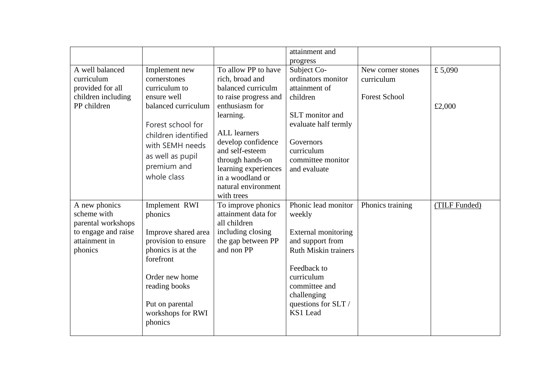|                                                                                                       |                                                                                                                                                                                                       |                                                                                                                                                                                                                                                                                           | attainment and<br>progress                                                                                                                                                                              |                                                         |                  |
|-------------------------------------------------------------------------------------------------------|-------------------------------------------------------------------------------------------------------------------------------------------------------------------------------------------------------|-------------------------------------------------------------------------------------------------------------------------------------------------------------------------------------------------------------------------------------------------------------------------------------------|---------------------------------------------------------------------------------------------------------------------------------------------------------------------------------------------------------|---------------------------------------------------------|------------------|
| A well balanced<br>curriculum<br>provided for all<br>children including<br>PP children                | Implement new<br>cornerstones<br>curriculum to<br>ensure well<br>balanced curriculum<br>Forest school for<br>children identified<br>with SEMH needs<br>as well as pupil<br>premium and<br>whole class | To allow PP to have<br>rich, broad and<br>balanced curriculm<br>to raise progress and<br>enthusiasm for<br>learning.<br><b>ALL</b> learners<br>develop confidence<br>and self-esteem<br>through hands-on<br>learning experiences<br>in a woodland or<br>natural environment<br>with trees | Subject Co-<br>ordinators monitor<br>attainment of<br>children<br>SLT monitor and<br>evaluate half termly<br>Governors<br>curriculum<br>committee monitor<br>and evaluate                               | New corner stones<br>curriculum<br><b>Forest School</b> | £5,090<br>£2,000 |
| A new phonics<br>scheme with<br>parental workshops<br>to engage and raise<br>attainment in<br>phonics | Implement RWI<br>phonics<br>Improve shared area<br>provision to ensure<br>phonics is at the<br>forefront<br>Order new home<br>reading books<br>Put on parental<br>workshops for RWI<br>phonics        | To improve phonics<br>attainment data for<br>all children<br>including closing<br>the gap between PP<br>and non PP                                                                                                                                                                        | Phonic lead monitor<br>weekly<br>External monitoring<br>and support from<br><b>Ruth Miskin trainers</b><br>Feedback to<br>curriculum<br>committee and<br>challenging<br>questions for SLT /<br>KS1 Lead | Phonics training                                        | (TILF Funded)    |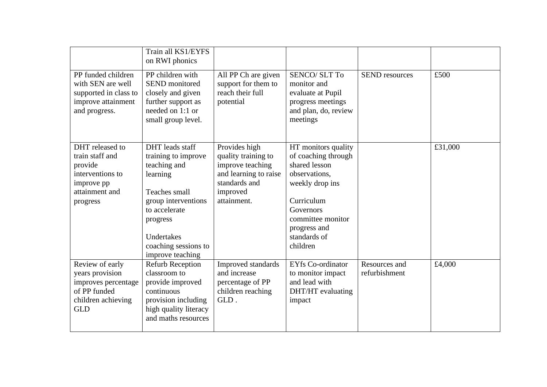|                                                                                                               | Train all KS1/EYFS<br>on RWI phonics                                                                                                                                                              |                                                                                                                               |                                                                                                                                                                                             |                                |         |
|---------------------------------------------------------------------------------------------------------------|---------------------------------------------------------------------------------------------------------------------------------------------------------------------------------------------------|-------------------------------------------------------------------------------------------------------------------------------|---------------------------------------------------------------------------------------------------------------------------------------------------------------------------------------------|--------------------------------|---------|
| PP funded children<br>with SEN are well<br>supported in class to<br>improve attainment<br>and progress.       | PP children with<br><b>SEND</b> monitored<br>closely and given<br>further support as<br>needed on 1:1 or<br>small group level.                                                                    | All PP Ch are given<br>support for them to<br>reach their full<br>potential                                                   | <b>SENCO/ SLT To</b><br>monitor and<br>evaluate at Pupil<br>progress meetings<br>and plan, do, review<br>meetings                                                                           | <b>SEND</b> resources          | £500    |
| DHT released to<br>train staff and<br>provide<br>interventions to<br>improve pp<br>attainment and<br>progress | DHT leads staff<br>training to improve<br>teaching and<br>learning<br>Teaches small<br>group interventions<br>to accelerate<br>progress<br>Undertakes<br>coaching sessions to<br>improve teaching | Provides high<br>quality training to<br>improve teaching<br>and learning to raise<br>standards and<br>improved<br>attainment. | HT monitors quality<br>of coaching through<br>shared lesson<br>observations,<br>weekly drop ins<br>Curriculum<br>Governors<br>committee monitor<br>progress and<br>standards of<br>children |                                | £31,000 |
| Review of early<br>years provision<br>improves percentage<br>of PP funded<br>children achieving<br><b>GLD</b> | <b>Refurb Reception</b><br>classroom to<br>provide improved<br>continuous<br>provision including<br>high quality literacy<br>and maths resources                                                  | Improved standards<br>and increase<br>percentage of PP<br>children reaching<br>GLD.                                           | <b>EYfs Co-ordinator</b><br>to monitor impact<br>and lead with<br>DHT/HT evaluating<br>impact                                                                                               | Resources and<br>refurbishment | £4,000  |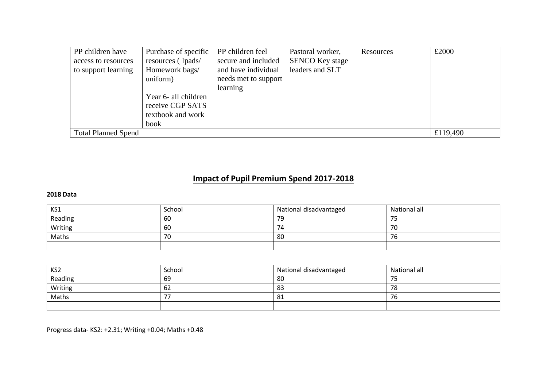| PP children have           | Purchase of specific | PP children feel     | Pastoral worker,       | Resources | £2000    |
|----------------------------|----------------------|----------------------|------------------------|-----------|----------|
| access to resources        | resources (Ipads/    | secure and included  | <b>SENCO Key stage</b> |           |          |
| to support learning        | Homework bags/       | and have individual  | leaders and SLT        |           |          |
|                            | uniform)             | needs met to support |                        |           |          |
|                            |                      | learning             |                        |           |          |
|                            | Year 6- all children |                      |                        |           |          |
|                            | receive CGP SATS     |                      |                        |           |          |
|                            | textbook and work    |                      |                        |           |          |
|                            | book                 |                      |                        |           |          |
| <b>Total Planned Spend</b> |                      |                      |                        |           | £119,490 |

# **Impact of Pupil Premium Spend 2017-2018**

### **2018 Data**

| KS1     | School | National disadvantaged | National all |
|---------|--------|------------------------|--------------|
| Reading | 60     | 79                     | フロ<br>. ب    |
| Writing | 60     | 74                     | -70          |
| Maths   | 70     | 80                     | 76           |
|         |        |                        |              |

| KS <sub>2</sub> | School | National disadvantaged | National all |
|-----------------|--------|------------------------|--------------|
| Reading         | 69     | 80                     | 75           |
| Writing         | 62     | 83                     | 78           |
| Maths           |        | 81                     | 76           |
|                 |        |                        |              |

Progress data- KS2: +2.31; Writing +0.04; Maths +0.48